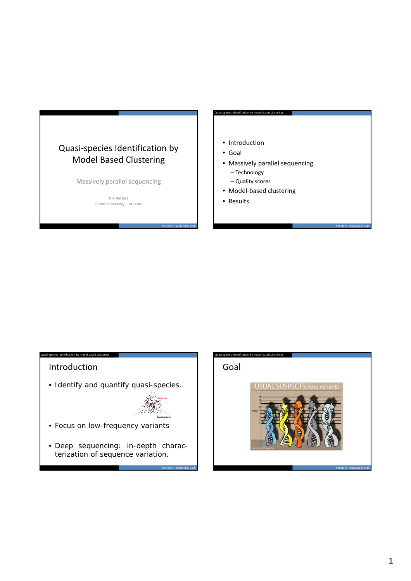# Quasi‐species Identification by Model Based Clustering

Massively parallel sequencing

Bie Verbist Ghent University – Janssen • Introduction

Quasi‐species identification by model‐based clustering

- Goal
- Massively parallel sequencing
	- Technology
	- Quality scores
- Model‐based clustering
- Results

Potsdam ‐ September 26th

### Introduction

tification by model‐based clus

• Identify and quantify quasi-species.



Potsdam ‐ September 26th

- Focus on low-frequency variants
- Deep sequencing: in-depth characterization of sequence variation.

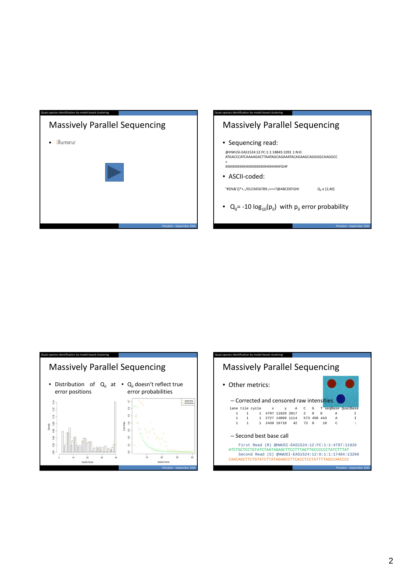

## Massively Parallel Sequencing

• Sequencing read:

@HWUSI‐EAS1524:12:FC:1:1:18845:1091 1:N:0: ATGACCCATCAAAAGACTTAATAGCAGAAATACAGAAGCAGGGGCAAGGCC

+ IIIIIIIIIIIIIIIIIIIHIIIIIIIIIIIIIIIIIIIHIIHIHIHFGHF

tification by model‐based cluste

• ASCII‐coded:

 $"$ #\$%&'()\*+,./0123456789:;<=>?@ABCDEFGHI  $Q_{ii} \in [2,40]$ 

•  $Q_{ii}$ = -10  $log_{10}(p_{ii})$  with  $p_{ii}$  error probability



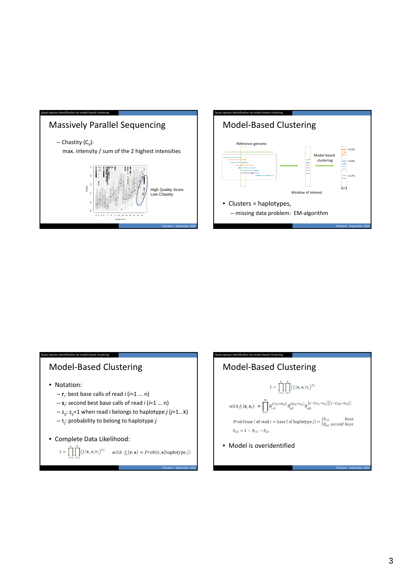





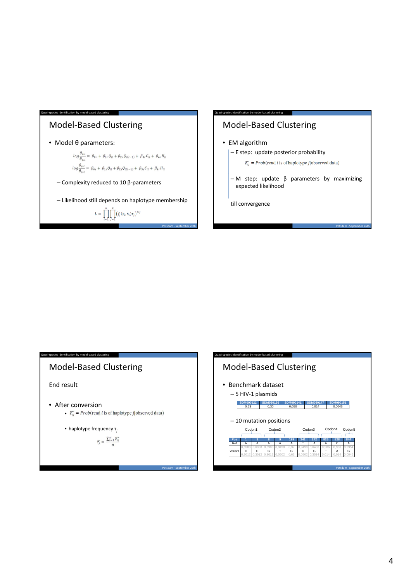



whished in by model‐based clu

- EM algorithm
	- E step: update posterior probability
		- $\widehat{z_{ij}}$  = Prob(read *i* is of haplotype *j*|observed data)
	- M step: update β parameters by maximizing expected likelihood

Potsdam ‐ September 26th

till convergence



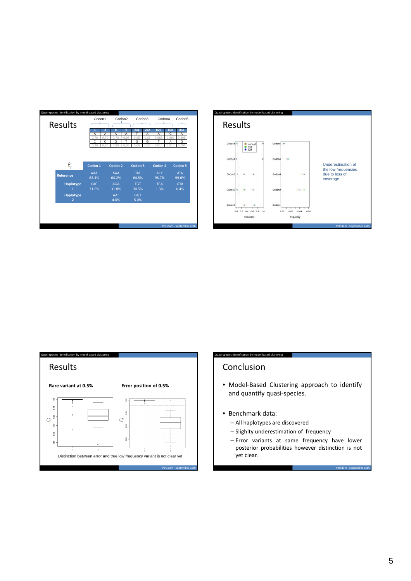





#### Conclusion

identification by model‐based clustering

- Model‐Based Clustering approach to identify and quantify quasi‐species.
- Benchmark data:
	- All haplotypes are discovered
	- Slighlty underestimation of frequency
	- Error variants at same frequency have lower posterior probabilities however distinction is not yet clear.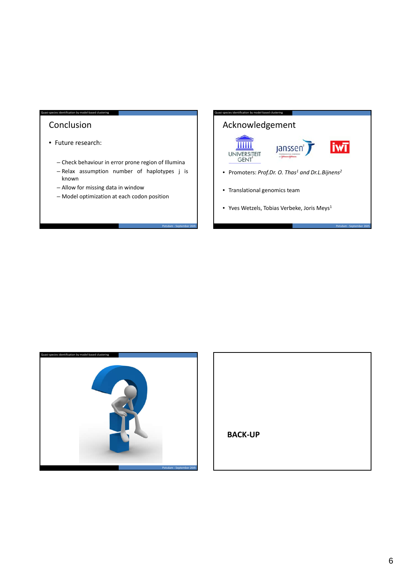#### Conclusion

• Future research:

asi‐species identification by model‐based clustering

- Check behaviour in error prone region of Illumina
- Relax assumption number of haplotypes j is known

Potsdam ‐ September 26th

- Allow for missing data in window
- Model optimization at each codon position

### Acknowledgement identification by model-based clustering



- Promoters: *Prof.Dr. O. Thas1 and Dr.L.Bijnens2*
- Translational genomics team
- Yves Wetzels, Tobias Verbeke, Joris Meys $1$



| <b>BACK-UP</b> |  |  |
|----------------|--|--|
|                |  |  |